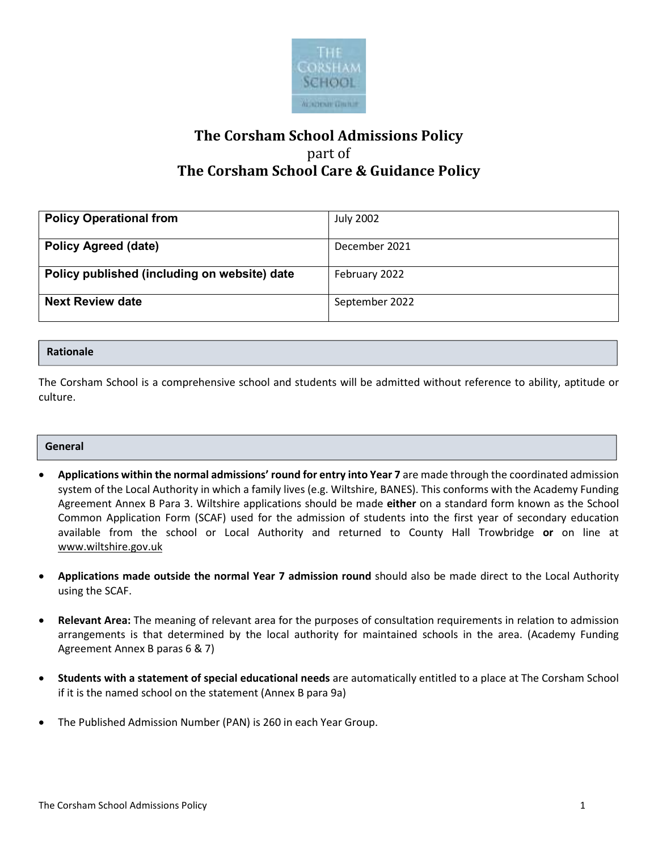

# **The Corsham School Admissions Policy**  part of **The Corsham School Care & Guidance Policy**

| <b>Policy Operational from</b>               | <b>July 2002</b> |
|----------------------------------------------|------------------|
|                                              |                  |
| <b>Policy Agreed (date)</b>                  | December 2021    |
|                                              |                  |
| Policy published (including on website) date | February 2022    |
|                                              |                  |
| <b>Next Review date</b>                      | September 2022   |
|                                              |                  |

#### **Rationale**

The Corsham School is a comprehensive school and students will be admitted without reference to ability, aptitude or culture.

#### **General**

- **Applications within the normal admissions' round for entry into Year 7** are made through the coordinated admission system of the Local Authority in which a family lives (e.g. Wiltshire, BANES). This conforms with the Academy Funding Agreement Annex B Para 3. Wiltshire applications should be made **either** on a standard form known as the School Common Application Form (SCAF) used for the admission of students into the first year of secondary education available from the school or Local Authority and returned to County Hall Trowbridge **or** on line at www.wiltshire.gov.uk
- **Applications made outside the normal Year 7 admission round** should also be made direct to the Local Authority using the SCAF.
- **Relevant Area:** The meaning of relevant area for the purposes of consultation requirements in relation to admission arrangements is that determined by the local authority for maintained schools in the area. (Academy Funding Agreement Annex B paras 6 & 7)
- **Students with a statement of special educational needs** are automatically entitled to a place at The Corsham School if it is the named school on the statement (Annex B para 9a)
- The Published Admission Number (PAN) is 260 in each Year Group.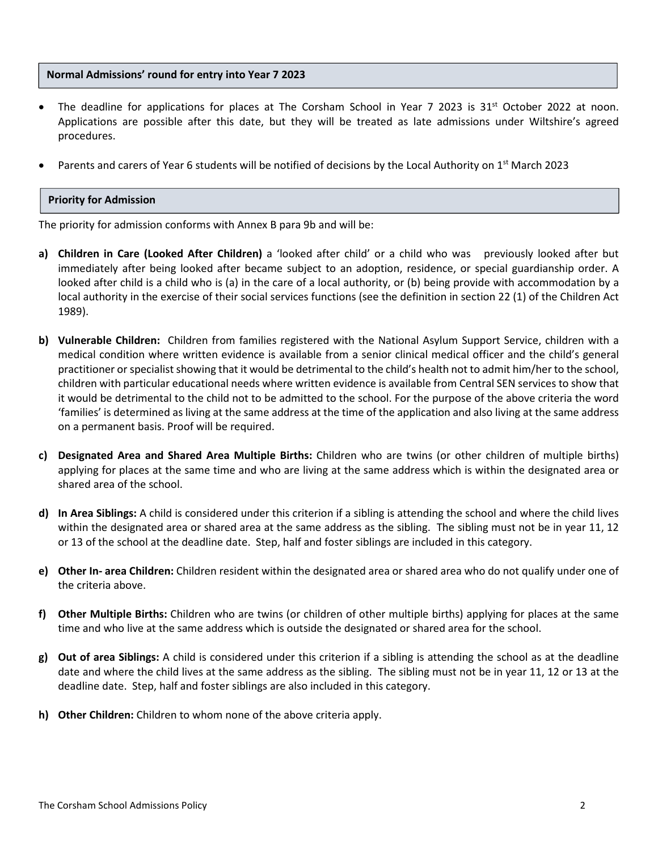#### **Normal Admissions' round for entry into Year 7 2023**

- The deadline for applications for places at The Corsham School in Year 7 2023 is 31<sup>st</sup> October 2022 at noon. Applications are possible after this date, but they will be treated as late admissions under Wiltshire's agreed procedures.
- Parents and carers of Year 6 students will be notified of decisions by the Local Authority on 1<sup>st</sup> March 2023

#### **Priority for Admission**

The priority for admission conforms with Annex B para 9b and will be:

- **a) Children in Care (Looked After Children)** a 'looked after child' or a child who was previously looked after but immediately after being looked after became subject to an adoption, residence, or special guardianship order. A looked after child is a child who is (a) in the care of a local authority, or (b) being provide with accommodation by a local authority in the exercise of their social services functions (see the definition in section 22 (1) of the Children Act 1989).
- **b) Vulnerable Children:** Children from families registered with the National Asylum Support Service, children with a medical condition where written evidence is available from a senior clinical medical officer and the child's general practitioner or specialist showing that it would be detrimental to the child's health not to admit him/her to the school, children with particular educational needs where written evidence is available from Central SEN services to show that it would be detrimental to the child not to be admitted to the school. For the purpose of the above criteria the word 'families' is determined as living at the same address at the time of the application and also living at the same address on a permanent basis. Proof will be required.
- **c) Designated Area and Shared Area Multiple Births:** Children who are twins (or other children of multiple births) applying for places at the same time and who are living at the same address which is within the designated area or shared area of the school.
- **d) In Area Siblings:** A child is considered under this criterion if a sibling is attending the school and where the child lives within the designated area or shared area at the same address as the sibling. The sibling must not be in year 11, 12 or 13 of the school at the deadline date. Step, half and foster siblings are included in this category.
- **e) Other In- area Children:** Children resident within the designated area or shared area who do not qualify under one of the criteria above.
- **f) Other Multiple Births:** Children who are twins (or children of other multiple births) applying for places at the same time and who live at the same address which is outside the designated or shared area for the school.
- **g) Out of area Siblings:** A child is considered under this criterion if a sibling is attending the school as at the deadline date and where the child lives at the same address as the sibling. The sibling must not be in year 11, 12 or 13 at the deadline date. Step, half and foster siblings are also included in this category.
- **h) Other Children:** Children to whom none of the above criteria apply.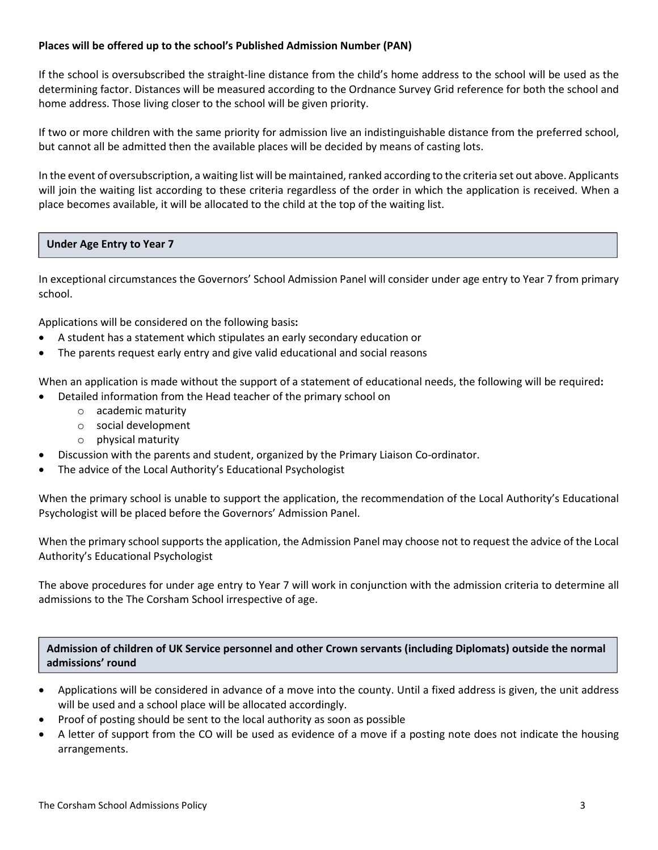#### **Places will be offered up to the school's Published Admission Number (PAN)**

If the school is oversubscribed the straight-line distance from the child's home address to the school will be used as the determining factor. Distances will be measured according to the Ordnance Survey Grid reference for both the school and home address. Those living closer to the school will be given priority.

If two or more children with the same priority for admission live an indistinguishable distance from the preferred school, but cannot all be admitted then the available places will be decided by means of casting lots.

In the event of oversubscription, a waiting list will be maintained, ranked according to the criteria set out above. Applicants will join the waiting list according to these criteria regardless of the order in which the application is received. When a place becomes available, it will be allocated to the child at the top of the waiting list.

### **Under Age Entry to Year 7**

In exceptional circumstances the Governors' School Admission Panel will consider under age entry to Year 7 from primary school.

Applications will be considered on the following basis**:** 

- A student has a statement which stipulates an early secondary education or
- The parents request early entry and give valid educational and social reasons

When an application is made without the support of a statement of educational needs, the following will be required**:** 

- Detailed information from the Head teacher of the primary school on
	- o academic maturity
	- o social development
	- o physical maturity
	- Discussion with the parents and student, organized by the Primary Liaison Co-ordinator.
- The advice of the Local Authority's Educational Psychologist

When the primary school is unable to support the application, the recommendation of the Local Authority's Educational Psychologist will be placed before the Governors' Admission Panel.

When the primary school supports the application, the Admission Panel may choose not to request the advice of the Local Authority's Educational Psychologist

The above procedures for under age entry to Year 7 will work in conjunction with the admission criteria to determine all admissions to the The Corsham School irrespective of age.

**Admission of children of UK Service personnel and other Crown servants (including Diplomats) outside the normal admissions' round**

- Applications will be considered in advance of a move into the county. Until a fixed address is given, the unit address will be used and a school place will be allocated accordingly.
- Proof of posting should be sent to the local authority as soon as possible
- A letter of support from the CO will be used as evidence of a move if a posting note does not indicate the housing arrangements.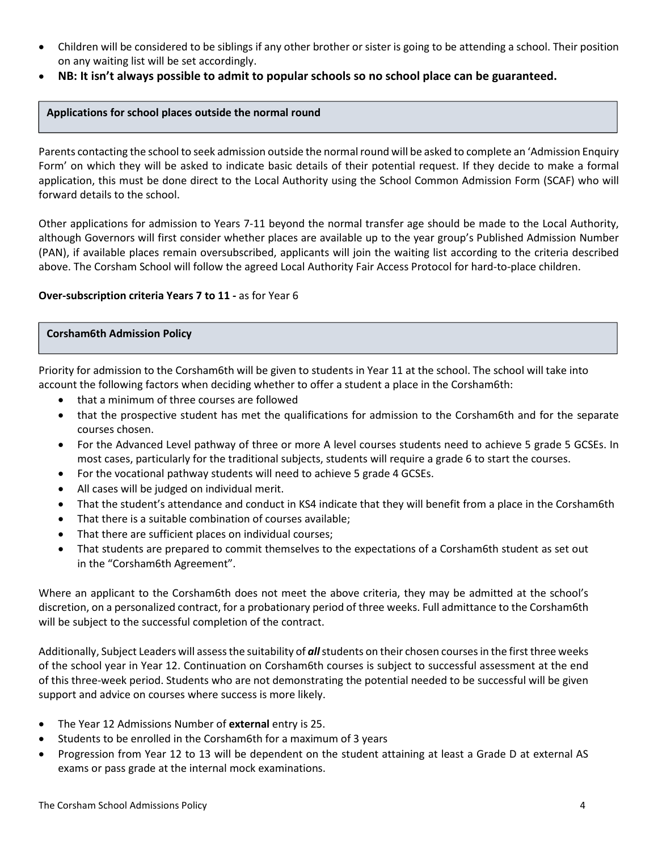- Children will be considered to be siblings if any other brother or sister is going to be attending a school. Their position on any waiting list will be set accordingly.
- **NB: It isn't always possible to admit to popular schools so no school place can be guaranteed.**

#### **Applications for school places outside the normal round**

Parents contacting the school to seek admission outside the normal round will be asked to complete an 'Admission Enquiry Form' on which they will be asked to indicate basic details of their potential request. If they decide to make a formal application, this must be done direct to the Local Authority using the School Common Admission Form (SCAF) who will forward details to the school.

Other applications for admission to Years 7-11 beyond the normal transfer age should be made to the Local Authority, although Governors will first consider whether places are available up to the year group's Published Admission Number (PAN), if available places remain oversubscribed, applicants will join the waiting list according to the criteria described above. The Corsham School will follow the agreed Local Authority Fair Access Protocol for hard-to-place children.

#### **Over-subscription criteria Years 7 to 11 -** as for Year 6

#### **Corsham6th Admission Policy**

Priority for admission to the Corsham6th will be given to students in Year 11 at the school. The school will take into account the following factors when deciding whether to offer a student a place in the Corsham6th:

- that a minimum of three courses are followed
- that the prospective student has met the qualifications for admission to the Corsham6th and for the separate courses chosen.
- For the Advanced Level pathway of three or more A level courses students need to achieve 5 grade 5 GCSEs. In most cases, particularly for the traditional subjects, students will require a grade 6 to start the courses.
- For the vocational pathway students will need to achieve 5 grade 4 GCSEs.
- All cases will be judged on individual merit.
- That the student's attendance and conduct in KS4 indicate that they will benefit from a place in the Corsham6th
- That there is a suitable combination of courses available;
- That there are sufficient places on individual courses;
- That students are prepared to commit themselves to the expectations of a Corsham6th student as set out in the "Corsham6th Agreement".

Where an applicant to the Corsham6th does not meet the above criteria, they may be admitted at the school's discretion, on a personalized contract, for a probationary period of three weeks. Full admittance to the Corsham6th will be subject to the successful completion of the contract.

Additionally, Subject Leaders will assess the suitability of *all* students on their chosen courses in the first three weeks of the school year in Year 12. Continuation on Corsham6th courses is subject to successful assessment at the end of this three-week period. Students who are not demonstrating the potential needed to be successful will be given support and advice on courses where success is more likely.

- The Year 12 Admissions Number of **external** entry is 25.
- Students to be enrolled in the Corsham6th for a maximum of 3 years
- Progression from Year 12 to 13 will be dependent on the student attaining at least a Grade D at external AS exams or pass grade at the internal mock examinations.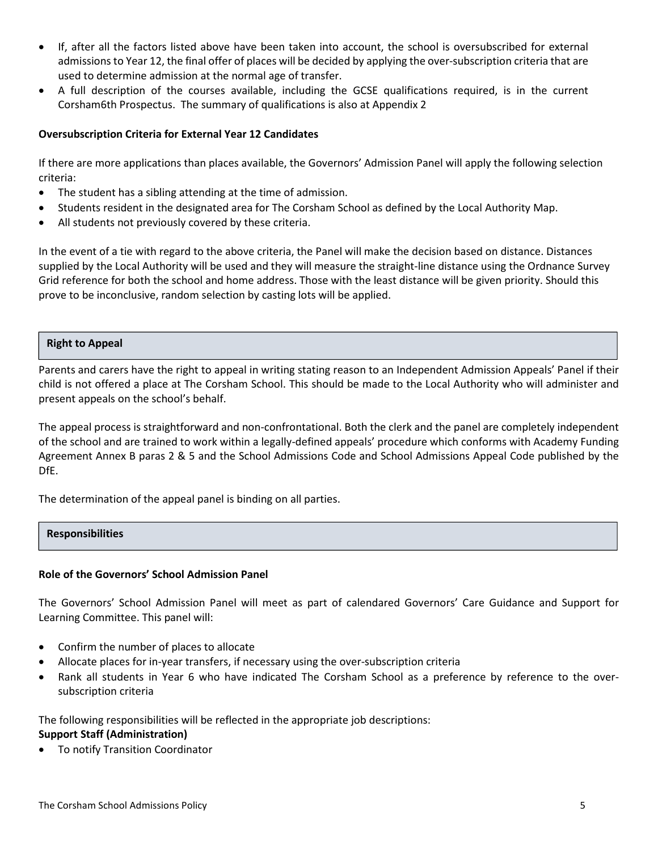- If, after all the factors listed above have been taken into account, the school is oversubscribed for external admissions to Year 12, the final offer of places will be decided by applying the over-subscription criteria that are used to determine admission at the normal age of transfer.
- A full description of the courses available, including the GCSE qualifications required, is in the current Corsham6th Prospectus. The summary of qualifications is also at Appendix 2

#### **Oversubscription Criteria for External Year 12 Candidates**

If there are more applications than places available, the Governors' Admission Panel will apply the following selection criteria:

- The student has a sibling attending at the time of admission.
- Students resident in the designated area for The Corsham School as defined by the Local Authority Map.
- All students not previously covered by these criteria.

In the event of a tie with regard to the above criteria, the Panel will make the decision based on distance. Distances supplied by the Local Authority will be used and they will measure the straight-line distance using the Ordnance Survey Grid reference for both the school and home address. Those with the least distance will be given priority. Should this prove to be inconclusive, random selection by casting lots will be applied.

#### **Right to Appeal**

Parents and carers have the right to appeal in writing stating reason to an Independent Admission Appeals' Panel if their child is not offered a place at The Corsham School. This should be made to the Local Authority who will administer and present appeals on the school's behalf.

The appeal process is straightforward and non-confrontational. Both the clerk and the panel are completely independent of the school and are trained to work within a legally-defined appeals' procedure which conforms with Academy Funding Agreement Annex B paras 2 & 5 and the School Admissions Code and School Admissions Appeal Code published by the DfE.

The determination of the appeal panel is binding on all parties.

#### **Responsibilities**

#### **Role of the Governors' School Admission Panel**

The Governors' School Admission Panel will meet as part of calendared Governors' Care Guidance and Support for Learning Committee. This panel will:

- Confirm the number of places to allocate
- Allocate places for in-year transfers, if necessary using the over-subscription criteria
- Rank all students in Year 6 who have indicated The Corsham School as a preference by reference to the oversubscription criteria

The following responsibilities will be reflected in the appropriate job descriptions:

## **Support Staff (Administration)**

To notify Transition Coordinator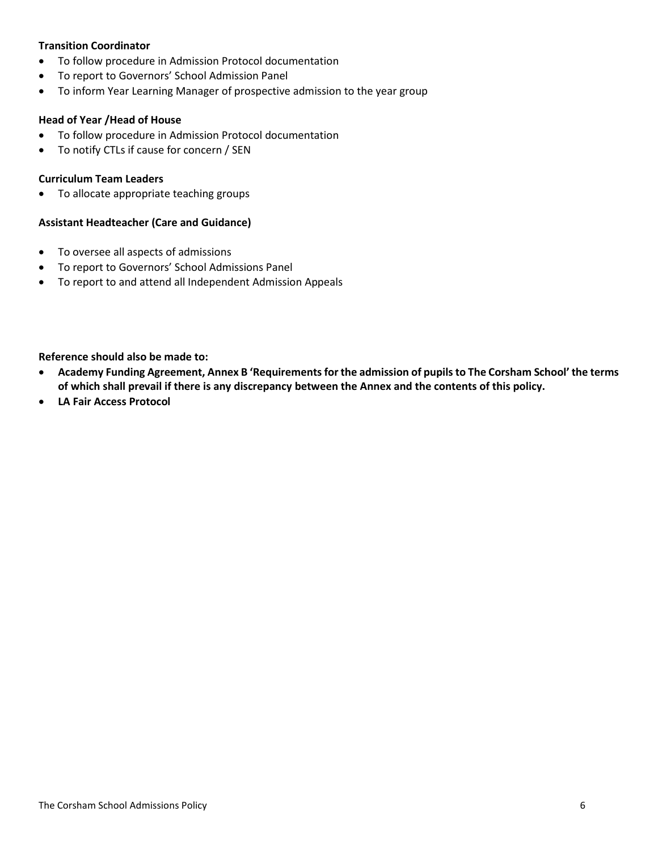#### **Transition Coordinator**

- To follow procedure in Admission Protocol documentation
- To report to Governors' School Admission Panel
- To inform Year Learning Manager of prospective admission to the year group

#### **Head of Year /Head of House**

- To follow procedure in Admission Protocol documentation
- To notify CTLs if cause for concern / SEN

#### **Curriculum Team Leaders**

To allocate appropriate teaching groups

#### **Assistant Headteacher (Care and Guidance)**

- To oversee all aspects of admissions
- To report to Governors' School Admissions Panel
- To report to and attend all Independent Admission Appeals

**Reference should also be made to:** 

- **Academy Funding Agreement, Annex B 'Requirements for the admission of pupils to The Corsham School' the terms of which shall prevail if there is any discrepancy between the Annex and the contents of this policy.**
- **LA Fair Access Protocol**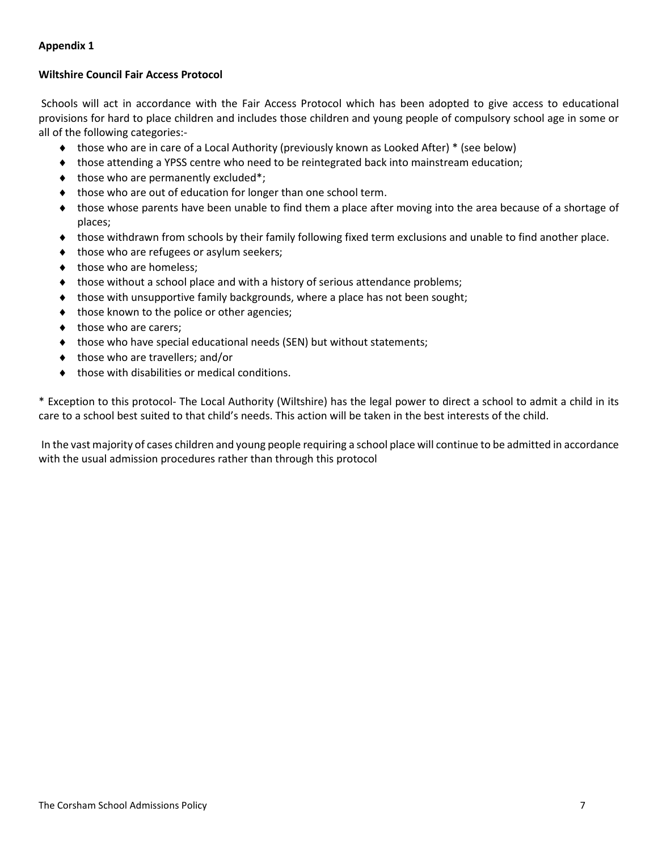## **Appendix 1**

### **Wiltshire Council Fair Access Protocol**

 Schools will act in accordance with the Fair Access Protocol which has been adopted to give access to educational provisions for hard to place children and includes those children and young people of compulsory school age in some or all of the following categories:-

- those who are in care of a Local Authority (previously known as Looked After) \* (see below)
- those attending a YPSS centre who need to be reintegrated back into mainstream education;
- $\bullet$  those who are permanently excluded\*;
- $\bullet$  those who are out of education for longer than one school term.
- those whose parents have been unable to find them a place after moving into the area because of a shortage of places;
- those withdrawn from schools by their family following fixed term exclusions and unable to find another place.
- $\bullet$  those who are refugees or asylum seekers;
- $\bullet$  those who are homeless;
- ◆ those without a school place and with a history of serious attendance problems;
- $\bullet$  those with unsupportive family backgrounds, where a place has not been sought;
- $\bullet$  those known to the police or other agencies;
- $\bullet$  those who are carers;
- those who have special educational needs (SEN) but without statements;
- $\bullet$  those who are travellers; and/or
- $\bullet$  those with disabilities or medical conditions.

\* Exception to this protocol- The Local Authority (Wiltshire) has the legal power to direct a school to admit a child in its care to a school best suited to that child's needs. This action will be taken in the best interests of the child.

 In the vast majority of cases children and young people requiring a school place will continue to be admitted in accordance with the usual admission procedures rather than through this protocol